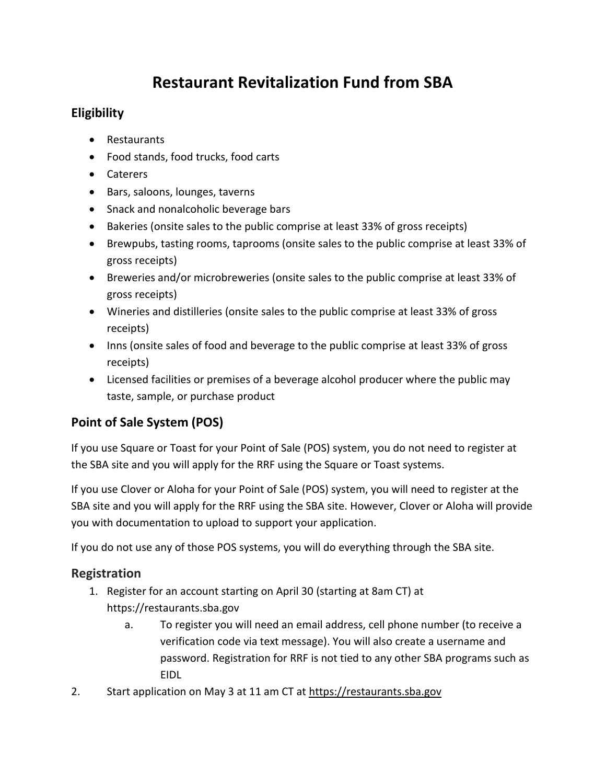# **Restaurant Revitalization Fund from SBA**

# **Eligibility**

- Restaurants
- Food stands, food trucks, food carts
- Caterers
- Bars, saloons, lounges, taverns
- Snack and nonalcoholic beverage bars
- Bakeries (onsite sales to the public comprise at least 33% of gross receipts)
- Brewpubs, tasting rooms, taprooms (onsite sales to the public comprise at least 33% of gross receipts)
- Breweries and/or microbreweries (onsite sales to the public comprise at least 33% of gross receipts)
- Wineries and distilleries (onsite sales to the public comprise at least 33% of gross receipts)
- Inns (onsite sales of food and beverage to the public comprise at least 33% of gross receipts)
- Licensed facilities or premises of a beverage alcohol producer where the public may taste, sample, or purchase product

# **Point of Sale System (POS)**

If you use Square or Toast for your Point of Sale (POS) system, you do not need to register at the SBA site and you will apply for the RRF using the Square or Toast systems.

If you use Clover or Aloha for your Point of Sale (POS) system, you will need to register at the SBA site and you will apply for the RRF using the SBA site. However, Clover or Aloha will provide you with documentation to upload to support your application.

If you do not use any of those POS systems, you will do everything through the SBA site.

## **Registration**

- 1. Register for an account starting on April 30 (starting at 8am CT) at https://restaurants.sba.gov
	- a. To register you will need an email address, cell phone number (to receive a verification code via text message). You will also create a username and password. Registration for RRF is not tied to any other SBA programs such as EIDL
- 2. Start application on May 3 at 11 am CT at [https://restaurants.sba.gov](https://restaurants.sba.gov/)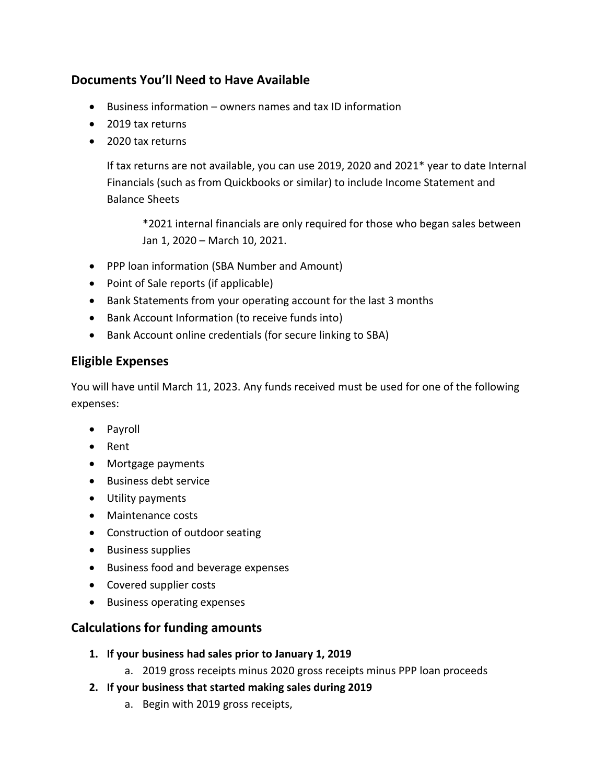## **Documents You'll Need to Have Available**

- Business information owners names and tax ID information
- 2019 tax returns
- 2020 tax returns

If tax returns are not available, you can use 2019, 2020 and 2021\* year to date Internal Financials (such as from Quickbooks or similar) to include Income Statement and Balance Sheets

\*2021 internal financials are only required for those who began sales between Jan 1, 2020 – March 10, 2021.

- PPP loan information (SBA Number and Amount)
- Point of Sale reports (if applicable)
- Bank Statements from your operating account for the last 3 months
- Bank Account Information (to receive funds into)
- Bank Account online credentials (for secure linking to SBA)

#### **Eligible Expenses**

You will have until March 11, 2023. Any funds received must be used for one of the following expenses:

- Payroll
- Rent
- Mortgage payments
- Business debt service
- Utility payments
- Maintenance costs
- Construction of outdoor seating
- Business supplies
- Business food and beverage expenses
- Covered supplier costs
- Business operating expenses

## **Calculations for funding amounts**

- **1. If your business had sales prior to January 1, 2019**
	- a. 2019 gross receipts minus 2020 gross receipts minus PPP loan proceeds
- **2. If your business that started making sales during 2019**
	- a. Begin with 2019 gross receipts,